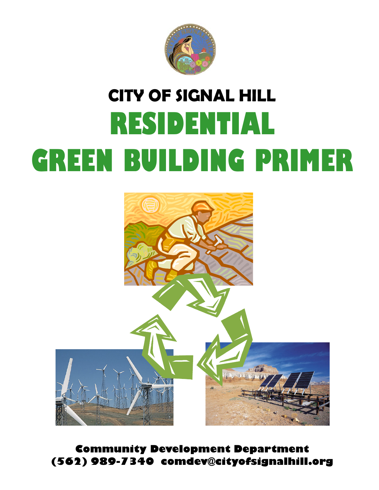

# **CITY OF SIGNAL HILL RESIDENTIAL GREEN BUILDING PRIMER**



**Community Development Department (562) 989-7340 comdev@cityofsignalhill.org**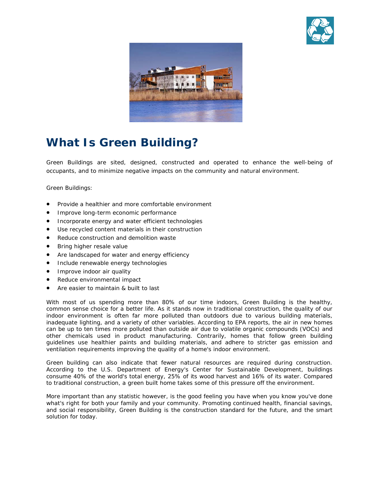



## **What Is Green Building?**

Green Buildings are sited, designed, constructed and operated to enhance the well-being of occupants, and to minimize negative impacts on the community and natural environment.

Green Buildings:

- Provide a healthier and more comfortable environment
- Improve long-term economic performance
- Incorporate energy and water efficient technologies
- Use recycled content materials in their construction
- Reduce construction and demolition waste
- Bring higher resale value
- Are landscaped for water and energy efficiency
- Include renewable energy technologies
- Improve indoor air quality
- Reduce environmental impact
- Are easier to maintain & built to last

With most of us spending more than 80% of our time indoors, Green Building is the healthy, common sense choice for a better life. As it stands now in traditional construction, the quality of our indoor environment is often far more polluted than outdoors due to various building materials, inadequate lighting, and a variety of other variables. According to EPA reports, the air in new homes can be up to ten times more polluted than outside air due to volatile organic compounds (VOCs) and other chemicals used in product manufacturing. Contrarily, homes that follow green building guidelines use healthier paints and building materials, and adhere to stricter gas emission and ventilation requirements improving the quality of a home's indoor environment.

Green building can also indicate that fewer natural resources are required during construction. According to the U.S. Department of Energy's Center for Sustainable Development, buildings consume 40% of the world's total energy, 25% of its wood harvest and 16% of its water. Compared to traditional construction, a green built home takes some of this pressure off the environment.

*More important than any statistic however, is the good feeling you have when you know you've done what's right for both your family and your community. Promoting continued health, financial savings, and social responsibility, Green Building is the construction standard for the future, and the smart solution for today.*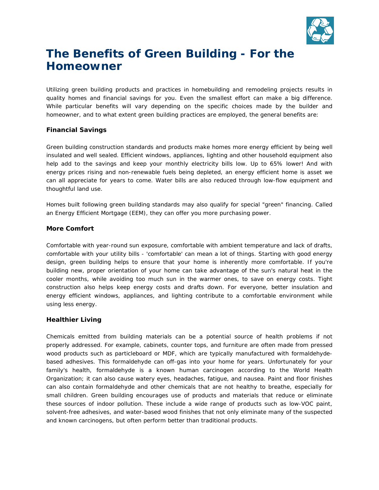

## **The Benefits of Green Building - For the Homeowner**

Utilizing green building products and practices in homebuilding and remodeling projects results in quality homes and financial savings for you. Even the smallest effort can make a big difference. While particular benefits will vary depending on the specific choices made by the builder and homeowner, and to what extent green building practices are employed, the general benefits are:

#### **Financial Savings**

Green building construction standards and products make homes more energy efficient by being well insulated and well sealed. Efficient windows, appliances, lighting and other household equipment also help add to the savings and keep your monthly electricity bills low. Up to 65% lower! And with energy prices rising and non-renewable fuels being depleted, an energy efficient home is asset we can all appreciate for years to come. Water bills are also reduced through low-flow equipment and thoughtful land use.

Homes built following green building standards may also qualify for special "green" financing. Called an Energy Efficient Mortgage (EEM), they can offer you more purchasing power.

#### **More Comfort**

Comfortable with year-round sun exposure, comfortable with ambient temperature and lack of drafts, comfortable with your utility bills - 'comfortable' can mean a lot of things. Starting with good energy design, green building helps to ensure that your home is inherently more comfortable. If you're building new, proper orientation of your home can take advantage of the sun's natural heat in the cooler months, while avoiding too much sun in the warmer ones, to save on energy costs. Tight construction also helps keep energy costs and drafts down. For everyone, better insulation and energy efficient windows, appliances, and lighting contribute to a comfortable environment while using less energy.

#### **Healthier Living**

Chemicals emitted from building materials can be a potential source of health problems if not properly addressed. For example, cabinets, counter tops, and furniture are often made from pressed wood products such as particleboard or MDF, which are typically manufactured with formaldehydebased adhesives. This formaldehyde can off-gas into your home for years. Unfortunately for your family's health, formaldehyde is a known human carcinogen according to the World Health Organization; it can also cause watery eyes, headaches, fatigue, and nausea. Paint and floor finishes can also contain formaldehyde and other chemicals that are not healthy to breathe, especially for small children. Green building encourages use of products and materials that reduce or eliminate these sources of indoor pollution. These include a wide range of products such as low-VOC paint, solvent-free adhesives, and water-based wood finishes that not only eliminate many of the suspected and known carcinogens, but often perform better than traditional products.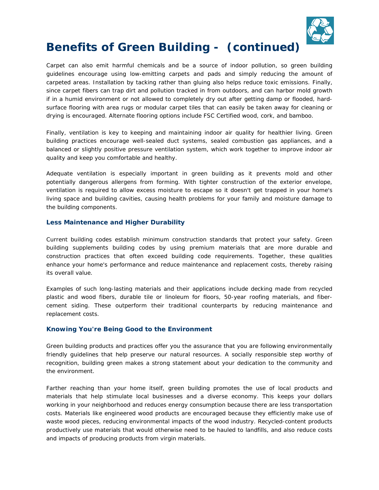

## **Benefits of Green Building - (continued)**

Carpet can also emit harmful chemicals and be a source of indoor pollution, so green building guidelines encourage using low-emitting carpets and pads and simply reducing the amount of carpeted areas. Installation by tacking rather than gluing also helps reduce toxic emissions. Finally, since carpet fibers can trap dirt and pollution tracked in from outdoors, and can harbor mold growth if in a humid environment or not allowed to completely dry out after getting damp or flooded, hardsurface flooring with area rugs or modular carpet tiles that can easily be taken away for cleaning or drying is encouraged. Alternate flooring options include FSC Certified wood, cork, and bamboo.

Finally, ventilation is key to keeping and maintaining indoor air quality for healthier living. Green building practices encourage well-sealed duct systems, sealed combustion gas appliances, and a balanced or slightly positive pressure ventilation system, which work together to improve indoor air quality and keep you comfortable and healthy.

Adequate ventilation is especially important in green building as it prevents mold and other potentially dangerous allergens from forming. With tighter construction of the exterior envelope, ventilation is required to allow excess moisture to escape so it doesn't get trapped in your home's living space and building cavities, causing health problems for your family and moisture damage to the building components.

#### **Less Maintenance and Higher Durability**

Current building codes establish minimum construction standards that protect your safety. Green building supplements building codes by using premium materials that are more durable and construction practices that often exceed building code requirements. Together, these qualities enhance your home's performance and reduce maintenance and replacement costs, thereby raising its overall value.

Examples of such long-lasting materials and their applications include decking made from recycled plastic and wood fibers, durable tile or linoleum for floors, 50-year roofing materials, and fibercement siding. These outperform their traditional counterparts by reducing maintenance and replacement costs.

#### **Knowing You're Being Good to the Environment**

Green building products and practices offer you the assurance that you are following environmentally friendly guidelines that help preserve our natural resources. A socially responsible step worthy of recognition, building green makes a strong statement about your dedication to the community and the environment.

Farther reaching than your home itself, green building promotes the use of local products and materials that help stimulate local businesses and a diverse economy. This keeps your dollars working in your neighborhood and reduces energy consumption because there are less transportation costs. Materials like engineered wood products are encouraged because they efficiently make use of waste wood pieces, reducing environmental impacts of the wood industry. Recycled-content products productively use materials that would otherwise need to be hauled to landfills, and also reduce costs and impacts of producing products from virgin materials.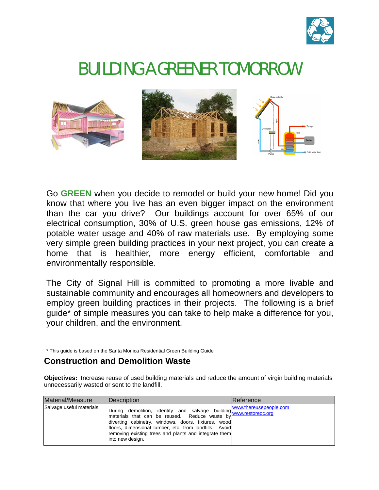

## BUILDING A GREENER TOMORROW



Go **GREEN** when you decide to remodel or build your new home! Did you know that where you live has an even bigger impact on the environment than the car you drive? Our buildings account for over 65% of our electrical consumption, 30% of U.S. green house gas emissions, 12% of potable water usage and 40% of raw materials use. By employing some very simple green building practices in your next project, you can create a home that is healthier, more energy efficient, comfortable and environmentally responsible.

The City of Signal Hill is committed to promoting a more livable and sustainable community and encourages all homeowners and developers to employ green building practices in their projects. The following is a brief guide\* of simple measures you can take to help make a difference for you, your children, and the environment.

\* This guide is based on the Santa Monica Residential Green Building Guide

#### **Construction and Demolition Waste**

**Objectives:** Increase reuse of used building materials and reduce the amount of virgin building materials unnecessarily wasted or sent to the landfill.

| Material/Measure         | <b>IDescription</b>                                                                                                                                                                                          | Reference |
|--------------------------|--------------------------------------------------------------------------------------------------------------------------------------------------------------------------------------------------------------|-----------|
| Salvage useful materials | Imaterials that can be reused. Reduce building www.thereusepeople.com<br>floors, dimensional lumber, etc. from landfills. Avoid<br>removing existing trees and plants and integrate them<br>into new design. |           |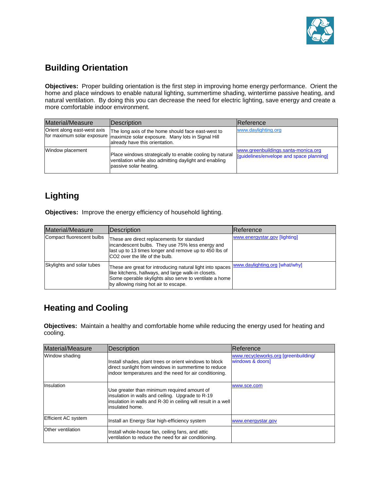

#### **Building Orientation**

**Objectives:** Proper building orientation is the first step in improving home energy performance. Orient the home and place windows to enable natural lighting, summertime shading, wintertime passive heating, and natural ventilation. By doing this you can decrease the need for electric lighting, save energy and create a more comfortable indoor environment.

| Material/Measure                                          | Description                                                                                                                                  | Reference                                                                       |
|-----------------------------------------------------------|----------------------------------------------------------------------------------------------------------------------------------------------|---------------------------------------------------------------------------------|
| Orient along east-west axis<br>for maximum solar exposure | The long axis of the home should face east-west to<br>maximize solar exposure. Many lots in Signal Hill<br>already have this orientation.    | www.daylighting.org                                                             |
| Window placement                                          | Place windows strategically to enable cooling by natural<br>ventilation while also admitting daylight and enabling<br>passive solar heating. | www.greenbuildings.santa-monica.org<br>[guidelines/envelope and space planning] |

## **Lighting**

**Objectives:** Improve the energy efficiency of household lighting.

| Material/Measure          | <b>Description</b>                                                                                                                                                                                                  | <b>IReference</b>              |
|---------------------------|---------------------------------------------------------------------------------------------------------------------------------------------------------------------------------------------------------------------|--------------------------------|
| Compact fluorescent bulbs | These are direct replacements for standard<br>incandescent bulbs. They use 75% less energy and<br>last up to 13 times longer and remove up to 450 lbs of<br>ICO <sub>2</sub> over the life of the bulb.             | www.energystar.gov [lighting]  |
| Skylights and solar tubes | These are great for introducing natural light into spaces<br>like kitchens, hallways, and large walk-in closets.<br>Some operable skylights also serve to ventilate a home<br>by allowing rising hot air to escape. | www.daylighting.org [what/why] |

#### **Heating and Cooling**

**Objectives:** Maintain a healthy and comfortable home while reducing the energy used for heating and cooling.

| Material/Measure           | <b>IDescription</b>                                                                                                                                                                 | <b>IReference</b>                                        |
|----------------------------|-------------------------------------------------------------------------------------------------------------------------------------------------------------------------------------|----------------------------------------------------------|
| Window shading             | Install shades, plant trees or orient windows to block<br>direct sunlight from windows in summertime to reduce<br>indoor temperatures and the need for air conditioning.            | www.recycleworks.org [greenbuilding/<br>windows & doors] |
| Insulation                 | Use greater than minimum required amount of<br>insulation in walls and ceiling. Upgrade to R-19<br>insulation in walls and R-30 in ceiling will result in a well<br>insulated home. | www.sce.com                                              |
| <b>Efficient AC system</b> | Install an Energy Star high-efficiency system                                                                                                                                       | www.energystar.gov                                       |
| Other ventilation          | Install whole-house fan, ceiling fans, and attic<br>ventilation to reduce the need for air conditioning.                                                                            |                                                          |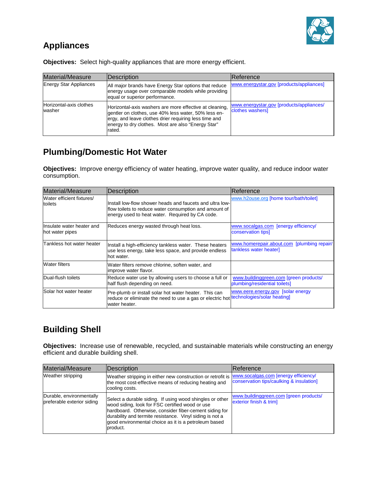

#### **Appliances**

| Material/Measure                  | Description                                                                                                                                                                                                                               | lReference                                                   |
|-----------------------------------|-------------------------------------------------------------------------------------------------------------------------------------------------------------------------------------------------------------------------------------------|--------------------------------------------------------------|
| <b>Energy Star Appliances</b>     | All major brands have Energy Star options that reduce<br>energy usage over comparable models while providing<br>equal or superior performance.                                                                                            | www.energystar.gov [products/appliances]                     |
| Horizontal-axis clothes<br>washer | Horizontal-axis washers are more effective at cleaning.<br>gentler on clothes, use 40% less water, 50% less en-<br>lergy, and leave clothes drier requiring less time and<br>energy to dry clothes. Most are also "Energy Star"<br>rated. | www.energystar.gov [products/appliances/<br>clothes washers] |

**Objectives:** Select high-quality appliances that are more energy efficient.

#### **Plumbing/Domestic Hot Water**

**Objectives:** Improve energy efficiency of water heating, improve water quality, and reduce indoor water consumption.

| <b>Material/Measure</b>                       | <b>Description</b>                                                                                                                                                    | Reference                                                               |
|-----------------------------------------------|-----------------------------------------------------------------------------------------------------------------------------------------------------------------------|-------------------------------------------------------------------------|
| Water efficient fixtures/<br>toilets          | Install low-flow shower heads and faucets and ultra low-<br>flow toilets to reduce water consumption and amount of<br>energy used to heat water. Required by CA code. | www.h2ouse.org [home tour/bath/toilet]                                  |
| Ilnsulate water heater and<br>hot water pipes | Reduces energy wasted through heat loss.                                                                                                                              | www.socalgas.com [energy efficiency/<br>conservation tips]              |
| Tankless hot water heater                     | Install a high-efficiency tankless water. These heaters<br>use less energy, take less space, and provide endless<br>hot water.                                        | www.homerepair.about.com [plumbing repair/<br>tankless water heater]    |
| <b>Water filters</b>                          | Water filters remove chlorine, soften water, and<br>improve water flavor.                                                                                             |                                                                         |
| Dual-flush toilets                            | Reduce water use by allowing users to choose a full or<br>half flush depending on need.                                                                               | www.buildinggreen.com [green products/<br>plumbing/residential toilets] |
| Solar hot water heater                        | Pre-plumb or install solar hot water heater. This can<br>reduce or eliminate the need to use a gas or electric hot<br>water heater.                                   | www.eere.energy.gov [solar energy<br>technologies/solar heating]        |

#### **Building Shell**

**Objectives:** Increase use of renewable, recycled, and sustainable materials while constructing an energy efficient and durable building shell.

| Material/Measure                                       | Description                                                                                                                                                                                                                                                                                           | Reference                                                                        |
|--------------------------------------------------------|-------------------------------------------------------------------------------------------------------------------------------------------------------------------------------------------------------------------------------------------------------------------------------------------------------|----------------------------------------------------------------------------------|
| Weather stripping                                      | Weather stripping in either new construction or retrofit is<br>the most cost-effective means of reducing heating and<br>cooling costs.                                                                                                                                                                | www.socalgas.com [energy efficiency/<br>conservation tips/caulking & insulation] |
| Durable, environmentally<br>preferable exterior siding | Select a durable siding. If using wood shingles or other<br>wood siding, look for FSC certified wood or use<br>hardboard. Otherwise, consider fiber-cement siding for<br>durability and termite resistance. Vinyl siding is not a<br>good environmental choice as it is a petroleum based<br>product. | www.buildinggreen.com [green products/<br>exterior finish & trim]                |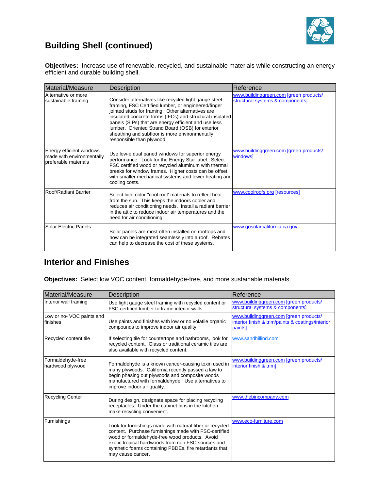

## **Building Shell (continued)**

**Objectives:** Increase use of renewable, recycled, and sustainable materials while constructing an energy efficient and durable building shell.

| Material/Measure                                                              | Description                                                                                                                                                                                                                                                                                                                                                                                                              | Reference                                                                  |
|-------------------------------------------------------------------------------|--------------------------------------------------------------------------------------------------------------------------------------------------------------------------------------------------------------------------------------------------------------------------------------------------------------------------------------------------------------------------------------------------------------------------|----------------------------------------------------------------------------|
| Alternative or more<br>sustainable framing                                    | Consider alternatives like recycled light gauge steel<br>framing, FSC Certified lumber, or engineered/finger<br>jointed studs for framing. Other alternatives are<br>insulated concrete forms (IFCs) and structural insulated<br>panels (SIPs) that are energy efficient and use less<br>lumber. Oriented Strand Board (OSB) for exterior<br>sheathing and subfloor is more environmentally<br>responsible than plywood. | www.buildinggreen.com [green products/<br>structural systems & components] |
| Energy efficient windows<br>made with environmentally<br>preferable materials | Use low-e dual paned windows for superior energy<br>performance. Look for the Energy Star label. Select<br>FSC certified wood or recycled aluminum with thermal<br>breaks for window frames. Higher costs can be offset<br>with smaller mechanical systems and lower heating and<br>cooling costs.                                                                                                                       | www.buildinggreen.com [green products/<br>windows]                         |
| Roof/Radiant Barrier                                                          | Select light color "cool roof' materials to reflect heat<br>from the sun. This keeps the indoors cooler and<br>reduces air conditioning needs. Install a radiant barrier<br>in the attic to reduce indoor air temperatures and the<br>need for air conditioning.                                                                                                                                                         | www.coolroofs.org [resources]                                              |
| Solar Electric Panels                                                         | Solar panels are most often installed on rooftops and<br>now can be integrated seamlessly into a roof. Rebates<br>can help to decrease the cost of these systems.                                                                                                                                                                                                                                                        | www.gosolarcalifornia.ca.gov                                               |

#### **Interior and Finishes**

**Objectives:** Select low VOC content, formaldehyde-free, and more sustainable materials.

| Material/Measure                      | Description                                                                                                                                                                                                                                                                                              | Reference                                                                                              |
|---------------------------------------|----------------------------------------------------------------------------------------------------------------------------------------------------------------------------------------------------------------------------------------------------------------------------------------------------------|--------------------------------------------------------------------------------------------------------|
| Interior wall framing                 | Use light gauge steel framing with recycled content or<br>FSC-certified lumber to frame interior walls.                                                                                                                                                                                                  | www.buildinggreen.com [green products/<br>structural systems & components]                             |
| Low or no-VOC paints and<br>finishes  | Use paints and finishes with low or no volatile organic<br>compounds to improve indoor air quality.                                                                                                                                                                                                      | www.buildinggreen.com [green products/<br>interior finish & trim/paints & coatings/interior<br>paints] |
| Recycled content tile                 | If selecting tile for countertops and bathrooms, look for<br>recycled content. Glass or traditional ceramic tiles are<br>also available with recycled content.                                                                                                                                           | www.sandhillind.com                                                                                    |
| Formaldehyde-free<br>hardwood plywood | Formaldehyde is a known cancer-causing toxin used in<br>many plywoods. California recently passed a law to<br>begin phasing out plywoods and composite woods<br>manufactured with formaldehyde. Use alternatives to<br>improve indoor air quality.                                                       | www.buildinggreen.com [green products/<br>interior finish & trim]                                      |
| <b>Recycling Center</b>               | During design, designate space for placing recycling<br>receptacles. Under the cabinet bins in the kitchen<br>make recycling convenient.                                                                                                                                                                 | www.thebincompany.com                                                                                  |
| Furnishings                           | Look for furnishings made with natural fiber or recycled<br>content. Purchase furnishings made with FSC-certified<br>wood or formaldehyde-free wood products. Avoid<br>exotic tropical hardwoods from non FSC sources and<br>synthetic foams containing PBDEs, fire retardants that<br>may cause cancer. | www.eco-furniture.com                                                                                  |